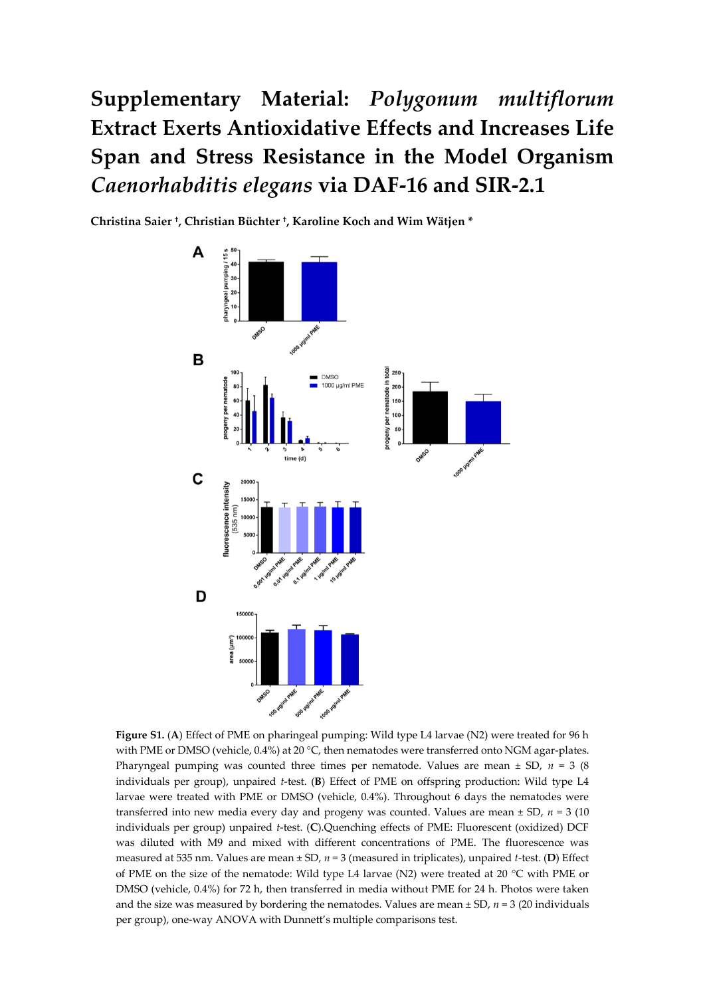**Supplementary Material:** *Polygonum multiflorum* **Extract Exerts Antioxidative Effects and Increases Life Span and Stress Resistance in the Model Organism**  *Caenorhabditis elegans* **via DAF-16 and SIR-2.1**

**Christina Saier † , Christian Büchter † , Karoline Koch and Wim Wätjen \***



**Figure S1.** (**A**) Effect of PME on pharingeal pumping: Wild type L4 larvae (N2) were treated for 96 h with PME or DMSO (vehicle, 0.4%) at 20 °C, then nematodes were transferred onto NGM agar-plates. Pharyngeal pumping was counted three times per nematode. Values are mean ± SD, *n* = 3 (8 individuals per group), unpaired *t*-test. (**B**) Effect of PME on offspring production: Wild type L4 larvae were treated with PME or DMSO (vehicle, 0.4%). Throughout 6 days the nematodes were transferred into new media every day and progeny was counted. Values are mean  $\pm$  SD,  $n = 3$  (10) individuals per group) unpaired *t*-test. (**C**).Quenching effects of PME: Fluorescent (oxidized) DCF was diluted with M9 and mixed with different concentrations of PME. The fluorescence was measured at 535 nm. Values are mean ± SD, *n* = 3 (measured in triplicates), unpaired *t*-test. (**D**) Effect of PME on the size of the nematode: Wild type L4 larvae (N2) were treated at 20 °C with PME or DMSO (vehicle, 0.4%) for 72 h, then transferred in media without PME for 24 h. Photos were taken and the size was measured by bordering the nematodes. Values are mean  $\pm$  SD,  $n = 3$  (20 individuals per group), one-way ANOVA with Dunnett's multiple comparisons test.